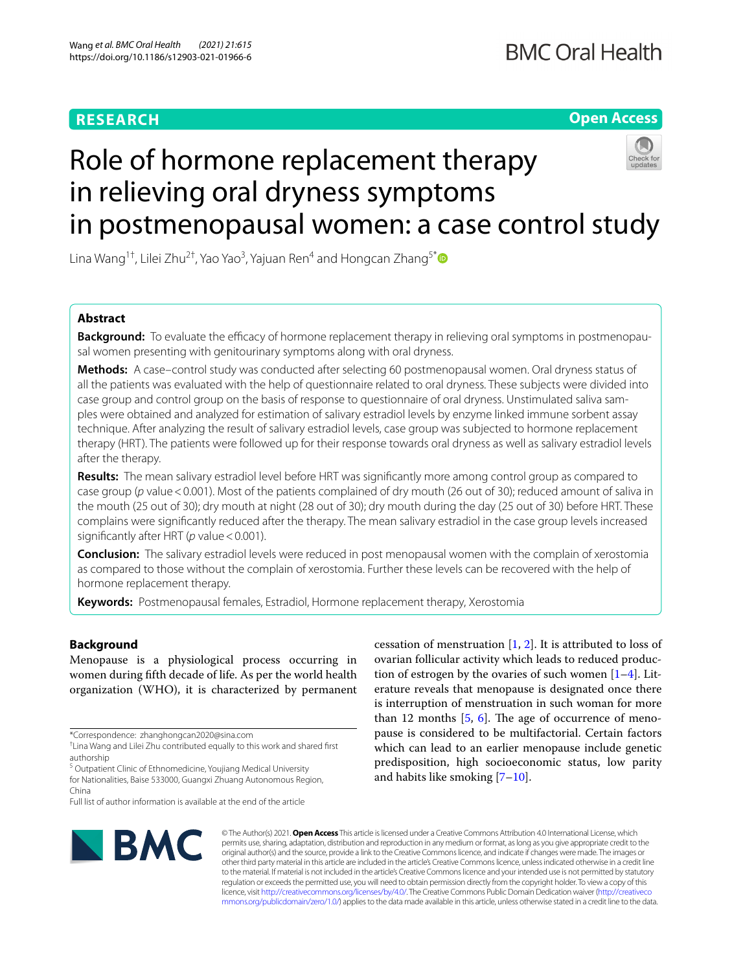# **RESEARCH**

**Open Access**

# Role of hormone replacement therapy in relieving oral dryness symptoms in postmenopausal women: a case control study

Lina Wang $^{1\dagger}$ , Lilei Zhu $^{2\dagger}$ , Yao Yao $^3$ , Yajuan Ren $^4$  and Hongcan Zhang $^{5^\ast}$ 

# **Abstract**

**Background:** To evaluate the efficacy of hormone replacement therapy in relieving oral symptoms in postmenopausal women presenting with genitourinary symptoms along with oral dryness.

**Methods:** A case–control study was conducted after selecting 60 postmenopausal women. Oral dryness status of all the patients was evaluated with the help of questionnaire related to oral dryness. These subjects were divided into case group and control group on the basis of response to questionnaire of oral dryness. Unstimulated saliva samples were obtained and analyzed for estimation of salivary estradiol levels by enzyme linked immune sorbent assay technique. After analyzing the result of salivary estradiol levels, case group was subjected to hormone replacement therapy (HRT). The patients were followed up for their response towards oral dryness as well as salivary estradiol levels after the therapy.

**Results:** The mean salivary estradiol level before HRT was signifcantly more among control group as compared to case group (*p* value < 0.001). Most of the patients complained of dry mouth (26 out of 30); reduced amount of saliva in the mouth (25 out of 30); dry mouth at night (28 out of 30); dry mouth during the day (25 out of 30) before HRT. These complains were signifcantly reduced after the therapy. The mean salivary estradiol in the case group levels increased significantly after HRT (*p* value < 0.001).

**Conclusion:** The salivary estradiol levels were reduced in post menopausal women with the complain of xerostomia as compared to those without the complain of xerostomia. Further these levels can be recovered with the help of hormone replacement therapy.

**Keywords:** Postmenopausal females, Estradiol, Hormone replacement therapy, Xerostomia

# **Background**

Menopause is a physiological process occurring in women during ffth decade of life. As per the world health organization (WHO), it is characterized by permanent

<sup>5</sup> Outpatient Clinic of Ethnomedicine, Youjiang Medical University for Nationalities, Baise 533000, Guangxi Zhuang Autonomous Region, China

tion of estrogen by the ovaries of such women  $[1-4]$  $[1-4]$ . Literature reveals that menopause is designated once there is interruption of menstruation in such woman for more than 12 months  $[5, 6]$  $[5, 6]$  $[5, 6]$ . The age of occurrence of menopause is considered to be multifactorial. Certain factors which can lead to an earlier menopause include genetic predisposition, high socioeconomic status, low parity and habits like smoking [\[7](#page-5-5)[–10](#page-5-6)].

cessation of menstruation  $[1, 2]$  $[1, 2]$  $[1, 2]$  $[1, 2]$ . It is attributed to loss of ovarian follicular activity which leads to reduced produc-



© The Author(s) 2021. **Open Access** This article is licensed under a Creative Commons Attribution 4.0 International License, which permits use, sharing, adaptation, distribution and reproduction in any medium or format, as long as you give appropriate credit to the original author(s) and the source, provide a link to the Creative Commons licence, and indicate if changes were made. The images or other third party material in this article are included in the article's Creative Commons licence, unless indicated otherwise in a credit line to the material. If material is not included in the article's Creative Commons licence and your intended use is not permitted by statutory regulation or exceeds the permitted use, you will need to obtain permission directly from the copyright holder. To view a copy of this licence, visit [http://creativecommons.org/licenses/by/4.0/.](http://creativecommons.org/licenses/by/4.0/) The Creative Commons Public Domain Dedication waiver ([http://creativeco](http://creativecommons.org/publicdomain/zero/1.0/) [mmons.org/publicdomain/zero/1.0/](http://creativecommons.org/publicdomain/zero/1.0/)) applies to the data made available in this article, unless otherwise stated in a credit line to the data.

<sup>\*</sup>Correspondence: zhanghongcan2020@sina.com

<sup>†</sup> Lina Wang and Lilei Zhu contributed equally to this work and shared frst authorship

Full list of author information is available at the end of the article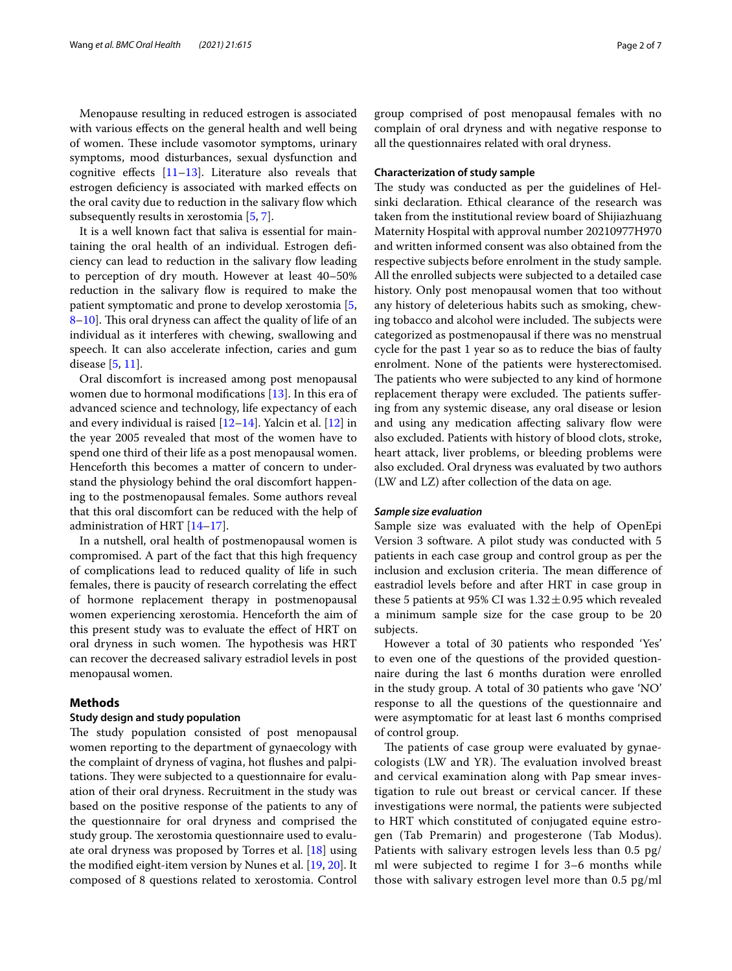Menopause resulting in reduced estrogen is associated with various effects on the general health and well being of women. These include vasomotor symptoms, urinary symptoms, mood disturbances, sexual dysfunction and cognitive effects  $[11-13]$  $[11-13]$ . Literature also reveals that estrogen defciency is associated with marked efects on the oral cavity due to reduction in the salivary flow which subsequently results in xerostomia [\[5](#page-5-3), [7\]](#page-5-5).

It is a well known fact that saliva is essential for maintaining the oral health of an individual. Estrogen defciency can lead to reduction in the salivary flow leading to perception of dry mouth. However at least 40–50% reduction in the salivary flow is required to make the patient symptomatic and prone to develop xerostomia [\[5](#page-5-3), [8–](#page-5-9)[10](#page-5-6)]. This oral dryness can affect the quality of life of an individual as it interferes with chewing, swallowing and speech. It can also accelerate infection, caries and gum disease [\[5](#page-5-3), [11\]](#page-5-7).

Oral discomfort is increased among post menopausal women due to hormonal modifcations [\[13](#page-5-8)]. In this era of advanced science and technology, life expectancy of each and every individual is raised [\[12](#page-5-10)[–14\]](#page-5-11). Yalcin et al. [\[12\]](#page-5-10) in the year 2005 revealed that most of the women have to spend one third of their life as a post menopausal women. Henceforth this becomes a matter of concern to understand the physiology behind the oral discomfort happening to the postmenopausal females. Some authors reveal that this oral discomfort can be reduced with the help of administration of HRT [\[14](#page-5-11)[–17\]](#page-5-12).

In a nutshell, oral health of postmenopausal women is compromised. A part of the fact that this high frequency of complications lead to reduced quality of life in such females, there is paucity of research correlating the efect of hormone replacement therapy in postmenopausal women experiencing xerostomia. Henceforth the aim of this present study was to evaluate the efect of HRT on oral dryness in such women. The hypothesis was HRT can recover the decreased salivary estradiol levels in post menopausal women.

# **Methods**

## **Study design and study population**

The study population consisted of post menopausal women reporting to the department of gynaecology with the complaint of dryness of vagina, hot fushes and palpitations. They were subjected to a questionnaire for evaluation of their oral dryness. Recruitment in the study was based on the positive response of the patients to any of the questionnaire for oral dryness and comprised the study group. The xerostomia questionnaire used to evaluate oral dryness was proposed by Torres et al. [[18](#page-5-13)] using the modifed eight-item version by Nunes et al. [\[19](#page-5-14), [20\]](#page-5-15). It composed of 8 questions related to xerostomia. Control group comprised of post menopausal females with no complain of oral dryness and with negative response to all the questionnaires related with oral dryness.

# **Characterization of study sample**

The study was conducted as per the guidelines of Helsinki declaration. Ethical clearance of the research was taken from the institutional review board of Shijiazhuang Maternity Hospital with approval number 20210977H970 and written informed consent was also obtained from the respective subjects before enrolment in the study sample. All the enrolled subjects were subjected to a detailed case history. Only post menopausal women that too without any history of deleterious habits such as smoking, chewing tobacco and alcohol were included. The subjects were categorized as postmenopausal if there was no menstrual cycle for the past 1 year so as to reduce the bias of faulty enrolment. None of the patients were hysterectomised. The patients who were subjected to any kind of hormone replacement therapy were excluded. The patients suffering from any systemic disease, any oral disease or lesion and using any medication affecting salivary flow were also excluded. Patients with history of blood clots, stroke, heart attack, liver problems, or bleeding problems were also excluded. Oral dryness was evaluated by two authors (LW and LZ) after collection of the data on age.

## *Sample size evaluation*

Sample size was evaluated with the help of OpenEpi Version 3 software. A pilot study was conducted with 5 patients in each case group and control group as per the inclusion and exclusion criteria. The mean difference of eastradiol levels before and after HRT in case group in these 5 patients at 95% CI was  $1.32 \pm 0.95$  which revealed a minimum sample size for the case group to be 20 subjects.

However a total of 30 patients who responded 'Yes' to even one of the questions of the provided questionnaire during the last 6 months duration were enrolled in the study group. A total of 30 patients who gave 'NO' response to all the questions of the questionnaire and were asymptomatic for at least last 6 months comprised of control group.

The patients of case group were evaluated by gynaecologists (LW and YR). The evaluation involved breast and cervical examination along with Pap smear investigation to rule out breast or cervical cancer. If these investigations were normal, the patients were subjected to HRT which constituted of conjugated equine estrogen (Tab Premarin) and progesterone (Tab Modus). Patients with salivary estrogen levels less than 0.5 pg/ ml were subjected to regime I for 3–6 months while those with salivary estrogen level more than 0.5 pg/ml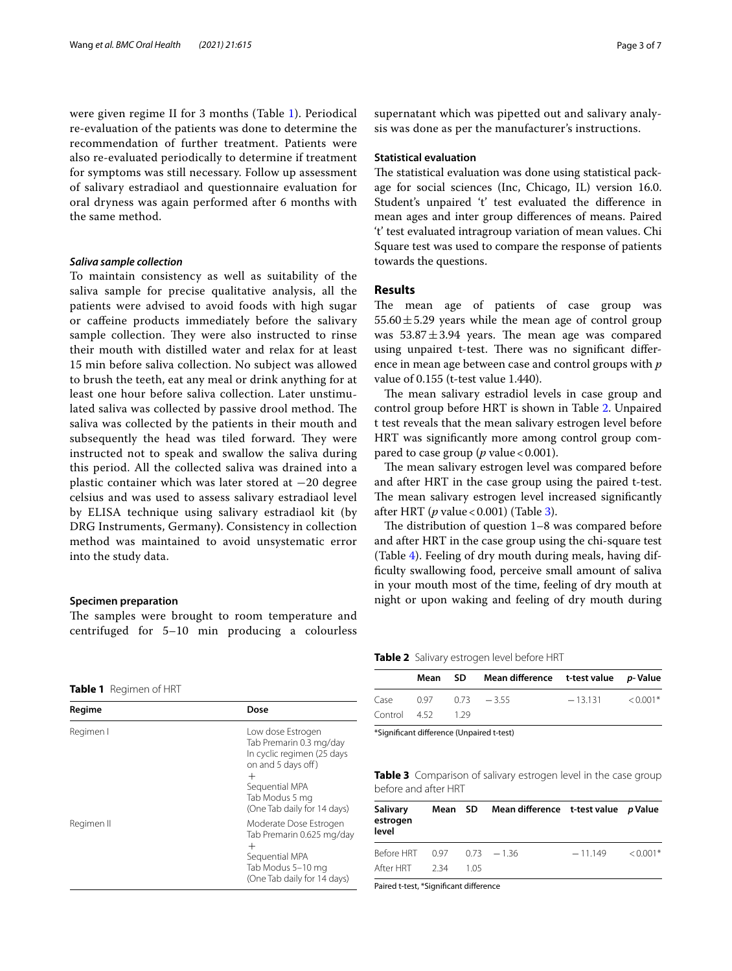were given regime II for 3 months (Table [1\)](#page-2-0). Periodical re-evaluation of the patients was done to determine the recommendation of further treatment. Patients were also re-evaluated periodically to determine if treatment for symptoms was still necessary. Follow up assessment of salivary estradiaol and questionnaire evaluation for oral dryness was again performed after 6 months with the same method.

# *Saliva sample collection*

To maintain consistency as well as suitability of the saliva sample for precise qualitative analysis, all the patients were advised to avoid foods with high sugar or cafeine products immediately before the salivary sample collection. They were also instructed to rinse their mouth with distilled water and relax for at least 15 min before saliva collection. No subject was allowed to brush the teeth, eat any meal or drink anything for at least one hour before saliva collection. Later unstimulated saliva was collected by passive drool method. The saliva was collected by the patients in their mouth and subsequently the head was tiled forward. They were instructed not to speak and swallow the saliva during this period. All the collected saliva was drained into a plastic container which was later stored at −20 degree celsius and was used to assess salivary estradiaol level by ELISA technique using salivary estradiaol kit (by DRG Instruments, Germany**)**. Consistency in collection method was maintained to avoid unsystematic error into the study data.

# **Specimen preparation**

The samples were brought to room temperature and centrifuged for 5–10 min producing a colourless

<span id="page-2-0"></span>

| Table 1 | Regimen of HRT |  |
|---------|----------------|--|
|---------|----------------|--|

| Regime     | Dose                                                                                                                                                                           |
|------------|--------------------------------------------------------------------------------------------------------------------------------------------------------------------------------|
| Regimen I  | Low dose Estrogen<br>Tab Premarin 0.3 mg/day<br>In cyclic regimen (25 days<br>on and 5 days off)<br>$\,+\,$<br>Sequential MPA<br>Tab Modus 5 mg<br>(One Tab daily for 14 days) |
| Regimen II | Moderate Dose Estrogen<br>Tab Premarin 0.625 mg/day<br>$^{+}$<br>Sequential MPA<br>Tab Modus 5-10 mg<br>(One Tab daily for 14 days)                                            |

supernatant which was pipetted out and salivary analysis was done as per the manufacturer's instructions.

# **Statistical evaluation**

The statistical evaluation was done using statistical package for social sciences (Inc, Chicago, IL) version 16.0. Student's unpaired 't' test evaluated the diference in mean ages and inter group diferences of means. Paired 't' test evaluated intragroup variation of mean values. Chi Square test was used to compare the response of patients towards the questions.

# **Results**

The mean age of patients of case group was  $55.60 \pm 5.29$  years while the mean age of control group was  $53.87 \pm 3.94$  years. The mean age was compared using unpaired t-test. There was no significant difference in mean age between case and control groups with *p* value of 0.155 (t-test value 1.440).

The mean salivary estradiol levels in case group and control group before HRT is shown in Table [2](#page-2-1). Unpaired t test reveals that the mean salivary estrogen level before HRT was signifcantly more among control group compared to case group ( $p$  value < 0.001).

The mean salivary estrogen level was compared before and after HRT in the case group using the paired t-test. The mean salivary estrogen level increased significantly after HRT (*p* value<0.001) (Table [3](#page-2-2)).

The distribution of question  $1-8$  was compared before and after HRT in the case group using the chi-square test (Table [4\)](#page-3-0). Feeling of dry mouth during meals, having diffculty swallowing food, perceive small amount of saliva in your mouth most of the time, feeling of dry mouth at night or upon waking and feeling of dry mouth during

<span id="page-2-1"></span>**Table 2** Salivary estrogen level before HRT

|              | Mean SD | Mean difference t-test value p-Value |               |          |            |  |
|--------------|---------|--------------------------------------|---------------|----------|------------|--|
| Case         | 0.97    |                                      | $0.73 - 3.55$ | $-13131$ | $< 0.001*$ |  |
| Control 4.52 |         | - 1.29                               |               |          |            |  |

\*Signifcant diference (Unpaired t-test)

<span id="page-2-2"></span>**Table 3** Comparison of salivary estrogen level in the case group before and after HRT

| Salivary<br>estrogen<br>level          |  | Mean SD Mean difference t-test value p Value |           |            |
|----------------------------------------|--|----------------------------------------------|-----------|------------|
| Before HRT $0.97$ $0.73$ $-1.36$       |  |                                              | $-11.149$ | $< 0.001*$ |
| After HRT 2.34 1.05                    |  |                                              |           |            |
| Paired t-test, *Significant difference |  |                                              |           |            |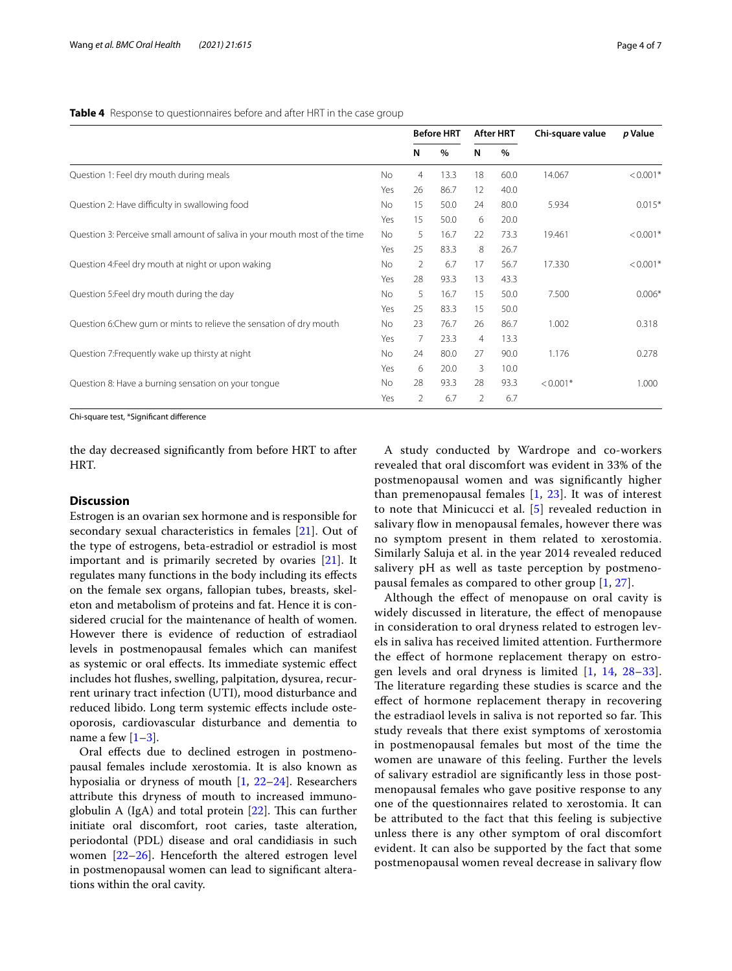<span id="page-3-0"></span>**Table 4** Response to questionnaires before and after HRT in the case group

|                                                                            |     | <b>Before HRT</b> |      | After HRT |      | Chi-square value | p Value    |
|----------------------------------------------------------------------------|-----|-------------------|------|-----------|------|------------------|------------|
|                                                                            |     | N                 | %    | N         | $\%$ |                  |            |
| Question 1: Feel dry mouth during meals                                    | No  | 4                 | 13.3 | 18        | 60.0 | 14.067           | $< 0.001*$ |
|                                                                            | Yes | 26                | 86.7 | 12        | 40.0 |                  |            |
| Question 2: Have difficulty in swallowing food                             | No  | 15                | 50.0 | 24        | 80.0 | 5.934            | $0.015*$   |
|                                                                            | Yes | 15                | 50.0 | 6         | 20.0 |                  |            |
| Question 3: Perceive small amount of saliva in your mouth most of the time | No  | 5                 | 16.7 | 22        | 73.3 | 19.461           | $< 0.001*$ |
|                                                                            | Yes | 25                | 83.3 | 8         | 26.7 |                  |            |
| Question 4: Feel dry mouth at night or upon waking                         | No  | $\overline{2}$    | 6.7  | 17        | 56.7 | 17.330           | $< 0.001*$ |
|                                                                            | Yes | 28                | 93.3 | 13        | 43.3 |                  |            |
| Question 5: Feel dry mouth during the day                                  | No  | 5                 | 16.7 | 15        | 50.0 | 7.500            | $0.006*$   |
|                                                                            | Yes | 25                | 83.3 | 15        | 50.0 |                  |            |
| Question 6: Chew gum or mints to relieve the sensation of dry mouth        | No  | 23                | 76.7 | 26        | 86.7 | 1.002            | 0.318      |
|                                                                            | Yes | 7                 | 23.3 | 4         | 13.3 |                  |            |
| Question 7: Frequently wake up thirsty at night                            | No  | 24                | 80.0 | 27        | 90.0 | 1.176            | 0.278      |
|                                                                            | Yes | 6                 | 20.0 | 3         | 10.0 |                  |            |
| Question 8: Have a burning sensation on your tonque                        | No  | 28                | 93.3 | 28        | 93.3 | $< 0.001*$       | 1.000      |
|                                                                            | Yes | 2                 | 6.7  | 2         | 6.7  |                  |            |

Chi-square test, \*Signifcant diference

the day decreased signifcantly from before HRT to after HRT.

# **Discussion**

Estrogen is an ovarian sex hormone and is responsible for secondary sexual characteristics in females [\[21](#page-5-16)]. Out of the type of estrogens, beta-estradiol or estradiol is most important and is primarily secreted by ovaries [[21](#page-5-16)]. It regulates many functions in the body including its efects on the female sex organs, fallopian tubes, breasts, skeleton and metabolism of proteins and fat. Hence it is considered crucial for the maintenance of health of women. However there is evidence of reduction of estradiaol levels in postmenopausal females which can manifest as systemic or oral efects. Its immediate systemic efect includes hot fushes, swelling, palpitation, dysurea, recurrent urinary tract infection (UTI), mood disturbance and reduced libido. Long term systemic efects include osteoporosis, cardiovascular disturbance and dementia to name a few  $[1-3]$  $[1-3]$ .

Oral efects due to declined estrogen in postmenopausal females include xerostomia. It is also known as hyposialia or dryness of mouth [[1,](#page-5-0) [22–](#page-5-18)[24](#page-5-19)]. Researchers attribute this dryness of mouth to increased immunoglobulin A (IgA) and total protein  $[22]$  $[22]$ . This can further initiate oral discomfort, root caries, taste alteration, periodontal (PDL) disease and oral candidiasis in such women [[22](#page-5-18)[–26](#page-5-20)]. Henceforth the altered estrogen level in postmenopausal women can lead to signifcant alterations within the oral cavity.

A study conducted by Wardrope and co-workers revealed that oral discomfort was evident in 33% of the postmenopausal women and was signifcantly higher than premenopausal females [\[1](#page-5-0), [23\]](#page-5-21). It was of interest to note that Minicucci et al. [\[5](#page-5-3)] revealed reduction in salivary flow in menopausal females, however there was no symptom present in them related to xerostomia. Similarly Saluja et al. in the year 2014 revealed reduced salivery pH as well as taste perception by postmenopausal females as compared to other group [[1,](#page-5-0) [27\]](#page-5-22).

Although the efect of menopause on oral cavity is widely discussed in literature, the effect of menopause in consideration to oral dryness related to estrogen levels in saliva has received limited attention. Furthermore the efect of hormone replacement therapy on estrogen levels and oral dryness is limited  $[1, 14, 28-33]$  $[1, 14, 28-33]$  $[1, 14, 28-33]$  $[1, 14, 28-33]$  $[1, 14, 28-33]$  $[1, 14, 28-33]$ . The literature regarding these studies is scarce and the efect of hormone replacement therapy in recovering the estradiaol levels in saliva is not reported so far. This study reveals that there exist symptoms of xerostomia in postmenopausal females but most of the time the women are unaware of this feeling. Further the levels of salivary estradiol are signifcantly less in those postmenopausal females who gave positive response to any one of the questionnaires related to xerostomia. It can be attributed to the fact that this feeling is subjective unless there is any other symptom of oral discomfort evident. It can also be supported by the fact that some postmenopausal women reveal decrease in salivary fow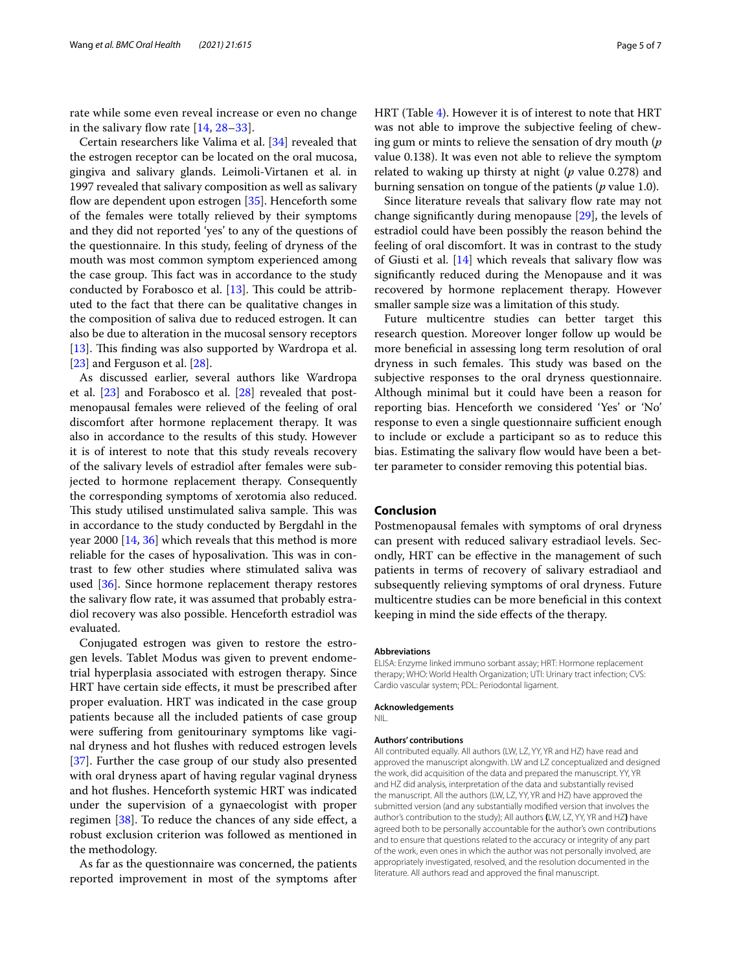rate while some even reveal increase or even no change in the salivary flow rate  $[14, 28-33]$  $[14, 28-33]$  $[14, 28-33]$ .

Certain researchers like Valima et al. [[34](#page-5-25)] revealed that the estrogen receptor can be located on the oral mucosa, gingiva and salivary glands. Leimoli-Virtanen et al. in 1997 revealed that salivary composition as well as salivary flow are dependent upon estrogen  $[35]$ . Henceforth some of the females were totally relieved by their symptoms and they did not reported 'yes' to any of the questions of the questionnaire. In this study, feeling of dryness of the mouth was most common symptom experienced among the case group. This fact was in accordance to the study conducted by Forabosco et al.  $[13]$ . This could be attributed to the fact that there can be qualitative changes in the composition of saliva due to reduced estrogen. It can also be due to alteration in the mucosal sensory receptors [[13\]](#page-5-8). This finding was also supported by Wardropa et al. [[23\]](#page-5-21) and Ferguson et al. [\[28](#page-5-23)].

As discussed earlier, several authors like Wardropa et al. [[23](#page-5-21)] and Forabosco et al. [\[28](#page-5-23)] revealed that postmenopausal females were relieved of the feeling of oral discomfort after hormone replacement therapy. It was also in accordance to the results of this study. However it is of interest to note that this study reveals recovery of the salivary levels of estradiol after females were subjected to hormone replacement therapy. Consequently the corresponding symptoms of xerotomia also reduced. This study utilised unstimulated saliva sample. This was in accordance to the study conducted by Bergdahl in the year 2000 [[14,](#page-5-11) [36](#page-6-0)] which reveals that this method is more reliable for the cases of hyposalivation. This was in contrast to few other studies where stimulated saliva was used [[36\]](#page-6-0). Since hormone replacement therapy restores the salivary fow rate, it was assumed that probably estradiol recovery was also possible. Henceforth estradiol was evaluated.

Conjugated estrogen was given to restore the estrogen levels. Tablet Modus was given to prevent endometrial hyperplasia associated with estrogen therapy. Since HRT have certain side efects, it must be prescribed after proper evaluation. HRT was indicated in the case group patients because all the included patients of case group were suffering from genitourinary symptoms like vaginal dryness and hot fushes with reduced estrogen levels [[37\]](#page-6-1). Further the case group of our study also presented with oral dryness apart of having regular vaginal dryness and hot fushes. Henceforth systemic HRT was indicated under the supervision of a gynaecologist with proper regimen [[38](#page-6-2)]. To reduce the chances of any side effect, a robust exclusion criterion was followed as mentioned in the methodology.

As far as the questionnaire was concerned, the patients reported improvement in most of the symptoms after HRT (Table [4](#page-3-0)). However it is of interest to note that HRT was not able to improve the subjective feeling of chewing gum or mints to relieve the sensation of dry mouth (*p* value 0.138). It was even not able to relieve the symptom related to waking up thirsty at night (*p* value 0.278) and

burning sensation on tongue of the patients (*p* value 1.0). Since literature reveals that salivary flow rate may not change signifcantly during menopause [\[29](#page-5-27)], the levels of estradiol could have been possibly the reason behind the feeling of oral discomfort. It was in contrast to the study of Giusti et al.  $[14]$  $[14]$  which reveals that salivary flow was signifcantly reduced during the Menopause and it was recovered by hormone replacement therapy. However smaller sample size was a limitation of this study.

Future multicentre studies can better target this research question. Moreover longer follow up would be more benefcial in assessing long term resolution of oral dryness in such females. This study was based on the subjective responses to the oral dryness questionnaire. Although minimal but it could have been a reason for reporting bias. Henceforth we considered 'Yes' or 'No' response to even a single questionnaire sufficient enough to include or exclude a participant so as to reduce this bias. Estimating the salivary flow would have been a better parameter to consider removing this potential bias.

## **Conclusion**

Postmenopausal females with symptoms of oral dryness can present with reduced salivary estradiaol levels. Secondly, HRT can be efective in the management of such patients in terms of recovery of salivary estradiaol and subsequently relieving symptoms of oral dryness. Future multicentre studies can be more benefcial in this context keeping in mind the side efects of the therapy.

#### **Abbreviations**

ELISA: Enzyme linked immuno sorbant assay; HRT: Hormone replacement therapy; WHO: World Health Organization; UTI: Urinary tract infection; CVS: Cardio vascular system; PDL: Periodontal ligament.

#### **Acknowledgements**

NIL.

#### **Authors' contributions**

All contributed equally. All authors (LW, LZ, YY, YR and HZ) have read and approved the manuscript alongwith. LW and LZ conceptualized and designed the work, did acquisition of the data and prepared the manuscript. YY, YR and HZ did analysis, interpretation of the data and substantially revised the manuscript. All the authors (LW, LZ, YY, YR and HZ) have approved the submitted version (and any substantially modifed version that involves the author's contribution to the study); All authors **(**LW, LZ, YY, YR and HZ**)** have agreed both to be personally accountable for the author's own contributions and to ensure that questions related to the accuracy or integrity of any part of the work, even ones in which the author was not personally involved, are appropriately investigated, resolved, and the resolution documented in the literature. All authors read and approved the fnal manuscript.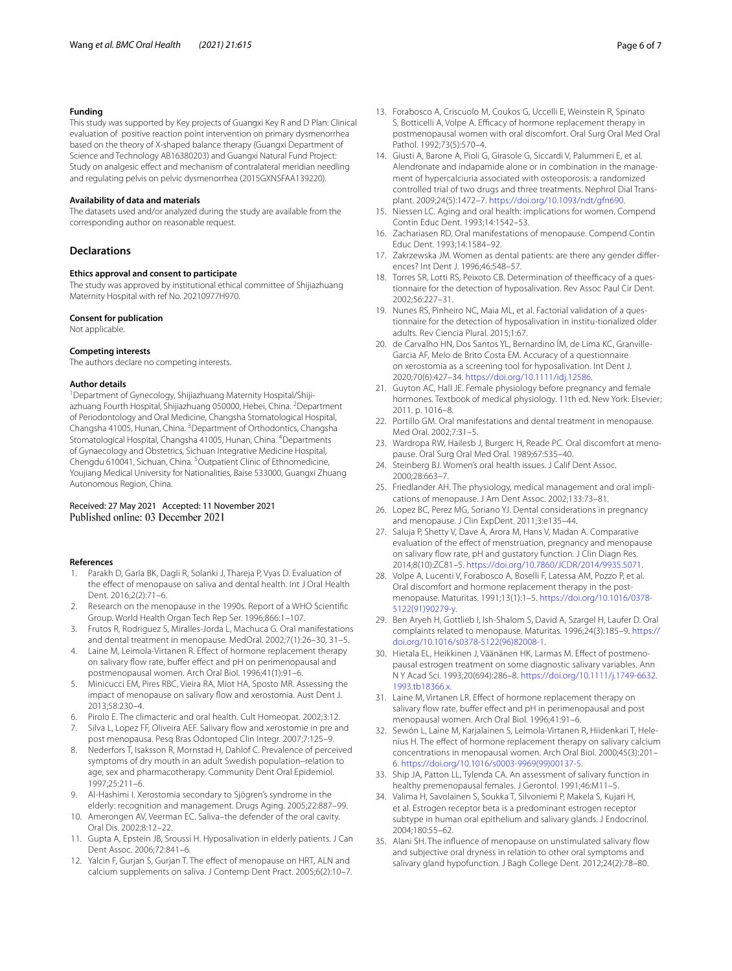# **Funding**

This study was supported by Key projects of Guangxi Key R and D Plan: Clinical evaluation of positive reaction point intervention on primary dysmenorrhea based on the theory of X-shaped balance therapy (Guangxi Department of Science and Technology AB16380203) and Guangxi Natural Fund Project: Study on analgesic efect and mechanism of contralateral meridian needling and regulating pelvis on pelvic dysmenorrhea (2015GXNSFAA139220).

#### **Availability of data and materials**

The datasets used and/or analyzed during the study are available from the corresponding author on reasonable request.

# **Declarations**

#### **Ethics approval and consent to participate**

The study was approved by institutional ethical committee of Shijiazhuang Maternity Hospital with ref No. 20210977H970.

#### **Consent for publication**

Not applicable.

#### **Competing interests**

The authors declare no competing interests.

#### **Author details**

<sup>1</sup> Department of Gynecology, Shijiazhuang Maternity Hospital/Shijiazhuang Fourth Hospital, Shijiazhuang 050000, Hebei, China. <sup>2</sup>Department of Periodontology and Oral Medicine, Changsha Stomatological Hospital, Changsha 41005, Hunan, China. <sup>3</sup> Department of Orthodontics, Changsha Stomatological Hospital, Changsha 41005, Hunan, China. <sup>4</sup>Departments of Gynaecology and Obstetrics, Sichuan Integrative Medicine Hospital, Chengdu 610041, Sichuan, China. <sup>5</sup>Outpatient Clinic of Ethnomedicine, Youjiang Medical University for Nationalities, Baise 533000, Guangxi Zhuang Autonomous Region, China.

# Received: 27 May 2021 Accepted: 11 November 2021 Published online: 03 December 2021

#### **References**

- <span id="page-5-0"></span>1. Parakh D, Garla BK, Dagli R, Solanki J, Thareja P, Vyas D. Evaluation of the efect of menopause on saliva and dental health. Int J Oral Health Dent. 2016;2(2):71–6.
- <span id="page-5-1"></span>2. Research on the menopause in the 1990s. Report of a WHO Scientifc Group. World Health Organ Tech Rep Ser. 1996;866:1–107.
- <span id="page-5-17"></span>3. Frutos R, Rodriguez S, Miralles-Jorda L, Machuca G. Oral manifestations and dental treatment in menopause. MedOral. 2002;7(1):26–30, 31–5.
- <span id="page-5-2"></span>4. Laine M, Leimola-Virtanen R. Efect of hormone replacement therapy on salivary flow rate, buffer effect and pH on perimenopausal and postmenopausal women. Arch Oral Biol. 1996;41(1):91–6.
- <span id="page-5-3"></span>5. Minicucci EM, Pires RBC, Vieira RA, Miot HA, Sposto MR. Assessing the impact of menopause on salivary flow and xerostomia. Aust Dent J. 2013;58:230–4.
- <span id="page-5-4"></span>6. Pirolo E. The climacteric and oral health. Cult Homeopat. 2002;3:12.
- <span id="page-5-5"></span>7. Silva L, Lopez FF, Oliveira AEF. Salivary flow and xerostomie in pre and post menopausa. Pesq Bras Odontoped Clin Integr. 2007;7:125–9.
- <span id="page-5-9"></span>8. Nederfors T, Isaksson R, Mornstad H, Dahlof C. Prevalence of perceived symptoms of dry mouth in an adult Swedish population–relation to age, sex and pharmacotherapy. Community Dent Oral Epidemiol. 1997;25:211–6.
- 9. Al-Hashimi I. Xerostomia secondary to Sjögren's syndrome in the elderly: recognition and management. Drugs Aging. 2005;22:887–99.
- <span id="page-5-6"></span>10. Amerongen AV, Veerman EC. Saliva–the defender of the oral cavity. Oral Dis. 2002;8:12–22.
- <span id="page-5-7"></span>11. Gupta A, Epstein JB, Sroussi H. Hyposalivation in elderly patients. J Can Dent Assoc. 2006;72:841–6.
- <span id="page-5-10"></span>12. Yalcin F, Gurjan S, Gurjan T. The effect of menopause on HRT, ALN and calcium supplements on saliva. J Contemp Dent Pract. 2005;6(2):10–7.
- <span id="page-5-8"></span>13. Forabosco A, Criscuolo M, Coukos G, Uccelli E, Weinstein R, Spinato S, Botticelli A, Volpe A. Efficacy of hormone replacement therapy in postmenopausal women with oral discomfort. Oral Surg Oral Med Oral Pathol. 1992;73(5):570–4.
- <span id="page-5-11"></span>14. Giusti A, Barone A, Pioli G, Girasole G, Siccardi V, Palummeri E, et al. Alendronate and indapamide alone or in combination in the management of hypercalciuria associated with osteoporosis: a randomized controlled trial of two drugs and three treatments. Nephrol Dial Transplant. 2009;24(5):1472–7. [https://doi.org/10.1093/ndt/gfn690.](https://doi.org/10.1093/ndt/gfn690)
- 15. Niessen LC. Aging and oral health: implications for women. Compend Contin Educ Dent. 1993;14:1542–53.
- 16. Zachariasen RD. Oral manifestations of menopause. Compend Contin Educ Dent. 1993;14:1584–92.
- <span id="page-5-12"></span>17. Zakrzewska JM. Women as dental patients: are there any gender diferences? Int Dent J. 1996;46:548–57.
- <span id="page-5-13"></span>18. Torres SR, Lotti RS, Peixoto CB. Determination of theefficacy of a questionnaire for the detection of hyposalivation. Rev Assoc Paul Cir Dent. 2002;56:227–31.
- <span id="page-5-14"></span>19. Nunes RS, Pinheiro NC, Maia ML, et al. Factorial validation of a questionnaire for the detection of hyposalivation in institu-tionalized older adults. Rev Ciencia Plural. 2015;1:67.
- <span id="page-5-15"></span>20. de Carvalho HN, Dos Santos YL, Bernardino ÍM, de Lima KC, Granville-Garcia AF, Melo de Brito Costa EM. Accuracy of a questionnaire on xerostomia as a screening tool for hyposalivation. Int Dent J. 2020;70(6):427–34. <https://doi.org/10.1111/idj.12586>.
- <span id="page-5-16"></span>21. Guyton AC, Hall JE. Female physiology before pregnancy and female hormones. Textbook of medical physiology. 11th ed. New York: Elsevier; 2011. p. 1016–8.
- <span id="page-5-18"></span>22. Portillo GM. Oral manifestations and dental treatment in menopause. Med Oral. 2002;7:31–5.
- <span id="page-5-21"></span>23. Wardropa RW, Hailesb J, Burgerc H, Reade PC. Oral discomfort at menopause. Oral Surg Oral Med Oral. 1989;67:535–40.
- <span id="page-5-19"></span>24. Steinberg BJ. Women's oral health issues. J Calif Dent Assoc. 2000;28:663–7.
- 25. Friedlander AH. The physiology, medical management and oral implications of menopause. J Am Dent Assoc. 2002;133:73–81.
- <span id="page-5-20"></span>26. Lopez BC, Perez MG, Soriano YJ. Dental considerations in pregnancy and menopause. J Clin ExpDent. 2011;3:e135–44.
- <span id="page-5-22"></span>27. Saluja P, Shetty V, Dave A, Arora M, Hans V, Madan A. Comparative evaluation of the efect of menstruation, pregnancy and menopause on salivary fow rate, pH and gustatory function. J Clin Diagn Res. 2014;8(10):ZC81–5. <https://doi.org/10.7860/JCDR/2014/9935.5071>.
- <span id="page-5-23"></span>28. Volpe A, Lucenti V, Forabosco A, Boselli F, Latessa AM, Pozzo P, et al. Oral discomfort and hormone replacement therapy in the postmenopause. Maturitas. 1991;13(1):1–5. [https://doi.org/10.1016/0378-](https://doi.org/10.1016/0378-5122(91)90279-y) [5122\(91\)90279-y.](https://doi.org/10.1016/0378-5122(91)90279-y)
- <span id="page-5-27"></span>29. Ben Aryeh H, Gottlieb I, Ish-Shalom S, David A, Szargel H, Laufer D. Oral complaints related to menopause. Maturitas. 1996;24(3):185–9. [https://](https://doi.org/10.1016/s0378-5122(96)82008-1) [doi.org/10.1016/s0378-5122\(96\)82008-1](https://doi.org/10.1016/s0378-5122(96)82008-1).
- 30. Hietala EL, Heikkinen J, Väänänen HK, Larmas M. Efect of postmenopausal estrogen treatment on some diagnostic salivary variables. Ann N Y Acad Sci. 1993;20(694):286–8. [https://doi.org/10.1111/j.1749-6632.](https://doi.org/10.1111/j.1749-6632.1993.tb18366.x) [1993.tb18366.x](https://doi.org/10.1111/j.1749-6632.1993.tb18366.x).
- 31. Laine M, Virtanen LR. Efect of hormone replacement therapy on salivary flow rate, buffer effect and pH in perimenopausal and post menopausal women. Arch Oral Biol. 1996;41:91–6.
- 32. Sewón L, Laine M, Karjalainen S, Leimola-Virtanen R, Hiidenkari T, Helenius H. The efect of hormone replacement therapy on salivary calcium concentrations in menopausal women. Arch Oral Biol. 2000;45(3):201– 6. [https://doi.org/10.1016/s0003-9969\(99\)00137-5](https://doi.org/10.1016/s0003-9969(99)00137-5).
- <span id="page-5-24"></span>33. Ship JA, Patton LL, Tylenda CA. An assessment of salivary function in healthy premenopausal females. J Gerontol. 1991;46:M11–5.
- <span id="page-5-25"></span>34. Valima H, Savolainen S, Soukka T, Silvoniemi P, Makela S, Kujari H, et al. Estrogen receptor beta is a predominant estrogen receptor subtype in human oral epithelium and salivary glands. J Endocrinol. 2004;180:55–62.
- <span id="page-5-26"></span>35. Alani SH. The infuence of menopause on unstimulated salivary fow and subjective oral dryness in relation to other oral symptoms and salivary gland hypofunction. J Bagh College Dent. 2012;24(2):78–80.